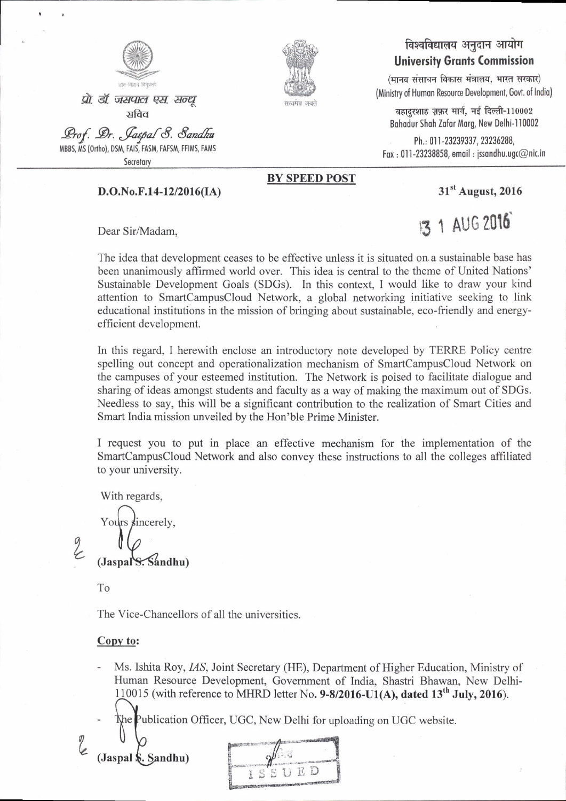

प्रो. डॉ. जसपाल एस. सन्ध् सविव

Prof. Dr. Jaspal 8. Sandhu MBBS, MS (Ortho), DSM, FAIS, FASM, FAFSM, FFIMS, FAMS

Secretary

# पत्थमेव जयते

#### विश्वविद्यालय अनुदान आयोग **University Grants Commission**

(मानव संसाधन विकास मंत्रालय, भारत सरकार) (Ministry of Human Resource Development, Govt. of India)

बहादुरशाह ज़फ़र मार्ग, नई दिल्ली-110002 Bahadur Shah Zafar Marg, New Delhi-110002

Ph.: 011-23239337, 23236288, Fax: 011-23238858, email: jssandhu.ugc@nic.in

#### $D.O.No.F.14-12/2016(IA)$

Dear Sir/Madam,

**BY SPEED POST** 

31<sup>st</sup> August, 2016

1 AUG 2016

The idea that development ceases to be effective unless it is situated on a sustainable base has been unanimously affirmed world over. This idea is central to the theme of United Nations' Sustainable Development Goals (SDGs). In this context, I would like to draw your kind attention to SmartCampusCloud Network, a global networking initiative seeking to link educational institutions in the mission of bringing about sustainable, eco-friendly and energyefficient development.

In this regard, I herewith enclose an introductory note developed by TERRE Policy centre spelling out concept and operationalization mechanism of SmartCampusCloud Network on the campuses of your esteemed institution. The Network is poised to facilitate dialogue and sharing of ideas amongst students and faculty as a way of making the maximum out of SDGs. Needless to say, this will be a significant contribution to the realization of Smart Cities and Smart India mission unveiled by the Hon'ble Prime Minister.

I request you to put in place an effective mechanism for the implementation of the SmartCampusCloud Network and also convey these instructions to all the colleges affiliated to your university.

With regards,

incerely. (Jaspal S. Sandhu)

To

The Vice-Chancellors of all the universities.

#### Copy to:

- Ms. Ishita Roy, IAS, Joint Secretary (HE), Department of Higher Education, Ministry of Human Resource Development, Government of India, Shastri Bhawan, New Delhi-110015 (with reference to MHRD letter No. 9-8/2016-U1(A), dated  $13<sup>th</sup>$  July, 2016).
	- The Publication Officer, UGC, New Delhi for uploading on UGC website.

(Jaspal \$. Sandhu)